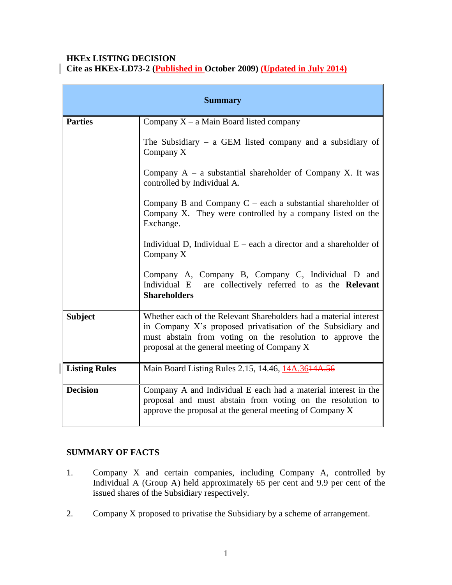#### **HKEx LISTING DECISION Cite as HKEx-LD73-2 (Published in October 2009) (Updated in July 2014)**

| <b>Summary</b>       |                                                                                                                                                                                                                                               |
|----------------------|-----------------------------------------------------------------------------------------------------------------------------------------------------------------------------------------------------------------------------------------------|
| <b>Parties</b>       | Company $X - a$ Main Board listed company                                                                                                                                                                                                     |
|                      | The Subsidiary $-$ a GEM listed company and a subsidiary of<br>Company X                                                                                                                                                                      |
|                      | Company $A - a$ substantial shareholder of Company X. It was<br>controlled by Individual A.                                                                                                                                                   |
|                      | Company B and Company $C$ – each a substantial shareholder of<br>Company X. They were controlled by a company listed on the<br>Exchange.                                                                                                      |
|                      | Individual D, Individual $E - each$ a director and a shareholder of<br>Company X                                                                                                                                                              |
|                      | Company A, Company B, Company C, Individual D and<br>are collectively referred to as the Relevant<br>Individual E<br><b>Shareholders</b>                                                                                                      |
| <b>Subject</b>       | Whether each of the Relevant Shareholders had a material interest<br>in Company X's proposed privatisation of the Subsidiary and<br>must abstain from voting on the resolution to approve the<br>proposal at the general meeting of Company X |
| <b>Listing Rules</b> | Main Board Listing Rules 2.15, 14.46, 14A.3614A.56                                                                                                                                                                                            |
| <b>Decision</b>      | Company A and Individual E each had a material interest in the<br>proposal and must abstain from voting on the resolution to<br>approve the proposal at the general meeting of Company X                                                      |

### **SUMMARY OF FACTS**

- 1. Company X and certain companies, including Company A, controlled by Individual A (Group A) held approximately 65 per cent and 9.9 per cent of the issued shares of the Subsidiary respectively.
- 2. Company X proposed to privatise the Subsidiary by a scheme of arrangement.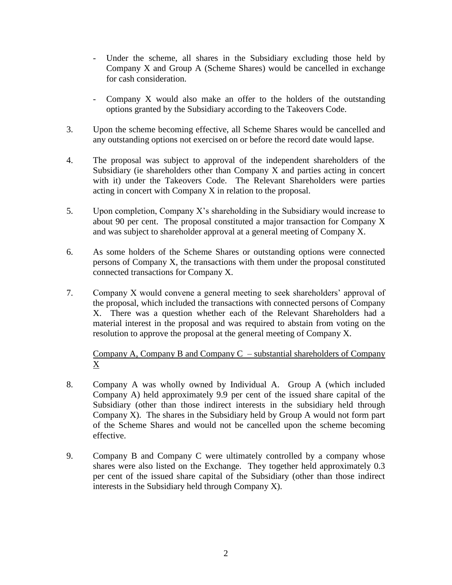- Under the scheme, all shares in the Subsidiary excluding those held by Company X and Group A (Scheme Shares) would be cancelled in exchange for cash consideration.
- Company X would also make an offer to the holders of the outstanding options granted by the Subsidiary according to the Takeovers Code.
- 3. Upon the scheme becoming effective, all Scheme Shares would be cancelled and any outstanding options not exercised on or before the record date would lapse.
- 4. The proposal was subject to approval of the independent shareholders of the Subsidiary (ie shareholders other than Company X and parties acting in concert with it) under the Takeovers Code. The Relevant Shareholders were parties acting in concert with Company X in relation to the proposal.
- 5. Upon completion, Company X's shareholding in the Subsidiary would increase to about 90 per cent. The proposal constituted a major transaction for Company X and was subject to shareholder approval at a general meeting of Company X.
- 6. As some holders of the Scheme Shares or outstanding options were connected persons of Company X, the transactions with them under the proposal constituted connected transactions for Company X.
- 7. Company X would convene a general meeting to seek shareholders' approval of the proposal, which included the transactions with connected persons of Company X. There was a question whether each of the Relevant Shareholders had a material interest in the proposal and was required to abstain from voting on the resolution to approve the proposal at the general meeting of Company X.

### Company A, Company B and Company  $C$  – substantial shareholders of Company X

- 8. Company A was wholly owned by Individual A. Group A (which included Company A) held approximately 9.9 per cent of the issued share capital of the Subsidiary (other than those indirect interests in the subsidiary held through Company X). The shares in the Subsidiary held by Group A would not form part of the Scheme Shares and would not be cancelled upon the scheme becoming effective.
- 9. Company B and Company C were ultimately controlled by a company whose shares were also listed on the Exchange. They together held approximately 0.3 per cent of the issued share capital of the Subsidiary (other than those indirect interests in the Subsidiary held through Company X).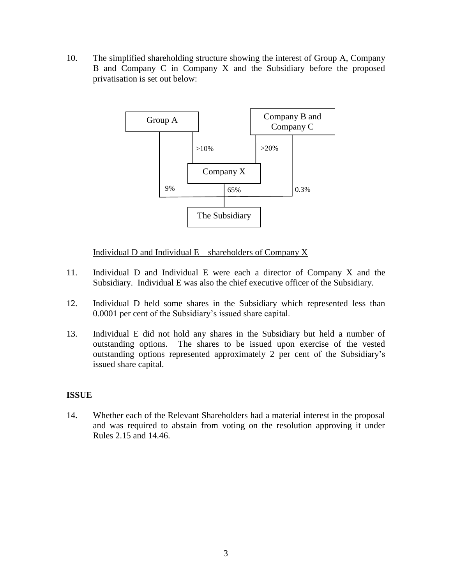10. The simplified shareholding structure showing the interest of Group A, Company B and Company C in Company X and the Subsidiary before the proposed privatisation is set out below:



Individual D and Individual  $E$  – shareholders of Company X

- 11. Individual D and Individual E were each a director of Company X and the Subsidiary. Individual E was also the chief executive officer of the Subsidiary.
- 12. Individual D held some shares in the Subsidiary which represented less than 0.0001 per cent of the Subsidiary's issued share capital.
- 13. Individual E did not hold any shares in the Subsidiary but held a number of outstanding options. The shares to be issued upon exercise of the vested outstanding options represented approximately 2 per cent of the Subsidiary's issued share capital.

### **ISSUE**

14. Whether each of the Relevant Shareholders had a material interest in the proposal and was required to abstain from voting on the resolution approving it under Rules 2.15 and 14.46.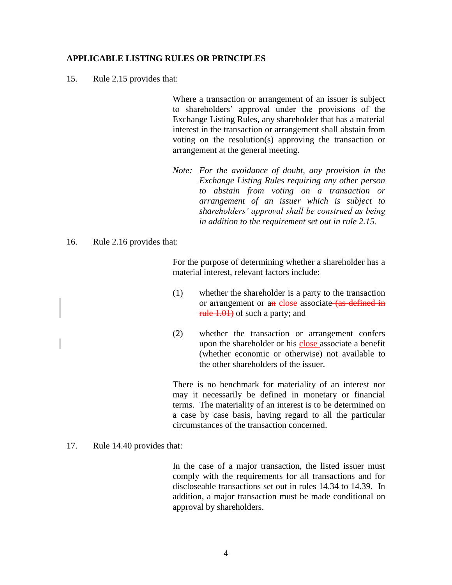#### **APPLICABLE LISTING RULES OR PRINCIPLES**

15. Rule 2.15 provides that:

Where a transaction or arrangement of an issuer is subject to shareholders' approval under the provisions of the Exchange Listing Rules, any shareholder that has a material interest in the transaction or arrangement shall abstain from voting on the resolution(s) approving the transaction or arrangement at the general meeting.

- *Note: For the avoidance of doubt, any provision in the Exchange Listing Rules requiring any other person to abstain from voting on a transaction or arrangement of an issuer which is subject to shareholders' approval shall be construed as being in addition to the requirement set out in rule 2.15.*
- 16. Rule 2.16 provides that:

For the purpose of determining whether a shareholder has a material interest, relevant factors include:

- (1) whether the shareholder is a party to the transaction or arrangement or an close associate (as defined in rule 1.01) of such a party; and
- (2) whether the transaction or arrangement confers upon the shareholder or his close associate a benefit (whether economic or otherwise) not available to the other shareholders of the issuer.

There is no benchmark for materiality of an interest nor may it necessarily be defined in monetary or financial terms. The materiality of an interest is to be determined on a case by case basis, having regard to all the particular circumstances of the transaction concerned.

17. Rule 14.40 provides that:

In the case of a major transaction, the listed issuer must comply with the requirements for all transactions and for discloseable transactions set out in rules 14.34 to 14.39. In addition, a major transaction must be made conditional on approval by shareholders.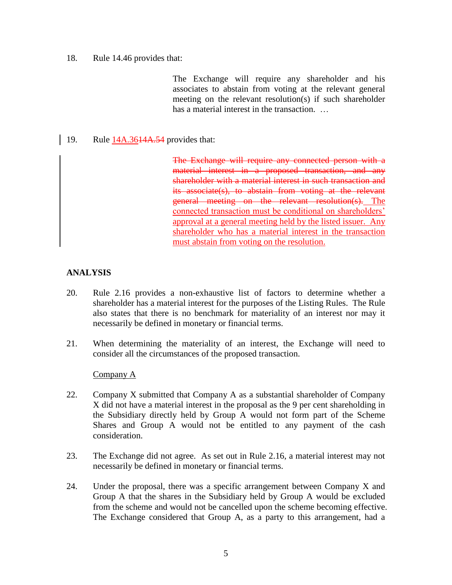#### 18. Rule 14.46 provides that:

The Exchange will require any shareholder and his associates to abstain from voting at the relevant general meeting on the relevant resolution(s) if such shareholder has a material interest in the transaction. ...

#### 19. Rule 14A.3614A.54 provides that:

The Exchange will require any connected person with a material interest in a proposed transaction, and any shareholder with a material interest in such transaction and its associate(s), to abstain from voting at the relevant general meeting on the relevant resolution(s). The connected transaction must be conditional on shareholders' approval at a general meeting held by the listed issuer. Any shareholder who has a material interest in the transaction must abstain from voting on the resolution.

### **ANALYSIS**

- 20. Rule 2.16 provides a non-exhaustive list of factors to determine whether a shareholder has a material interest for the purposes of the Listing Rules. The Rule also states that there is no benchmark for materiality of an interest nor may it necessarily be defined in monetary or financial terms.
- 21. When determining the materiality of an interest, the Exchange will need to consider all the circumstances of the proposed transaction.

#### Company A

- 22. Company X submitted that Company A as a substantial shareholder of Company X did not have a material interest in the proposal as the 9 per cent shareholding in the Subsidiary directly held by Group A would not form part of the Scheme Shares and Group A would not be entitled to any payment of the cash consideration.
- 23. The Exchange did not agree. As set out in Rule 2.16, a material interest may not necessarily be defined in monetary or financial terms.
- 24. Under the proposal, there was a specific arrangement between Company X and Group A that the shares in the Subsidiary held by Group A would be excluded from the scheme and would not be cancelled upon the scheme becoming effective. The Exchange considered that Group A, as a party to this arrangement, had a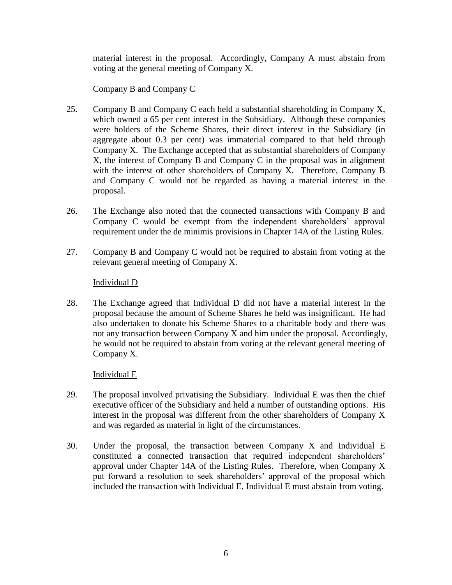material interest in the proposal. Accordingly, Company A must abstain from voting at the general meeting of Company X.

### Company B and Company C

- 25. Company B and Company C each held a substantial shareholding in Company X, which owned a 65 per cent interest in the Subsidiary. Although these companies were holders of the Scheme Shares, their direct interest in the Subsidiary (in aggregate about 0.3 per cent) was immaterial compared to that held through Company X. The Exchange accepted that as substantial shareholders of Company X, the interest of Company B and Company C in the proposal was in alignment with the interest of other shareholders of Company X. Therefore, Company B and Company C would not be regarded as having a material interest in the proposal.
- 26. The Exchange also noted that the connected transactions with Company B and Company C would be exempt from the independent shareholders' approval requirement under the de minimis provisions in Chapter 14A of the Listing Rules.
- 27. Company B and Company C would not be required to abstain from voting at the relevant general meeting of Company X.

### Individual D

28. The Exchange agreed that Individual D did not have a material interest in the proposal because the amount of Scheme Shares he held was insignificant. He had also undertaken to donate his Scheme Shares to a charitable body and there was not any transaction between Company X and him under the proposal. Accordingly, he would not be required to abstain from voting at the relevant general meeting of Company X.

## Individual E

- 29. The proposal involved privatising the Subsidiary. Individual E was then the chief executive officer of the Subsidiary and held a number of outstanding options. His interest in the proposal was different from the other shareholders of Company X and was regarded as material in light of the circumstances.
- 30. Under the proposal, the transaction between Company X and Individual E constituted a connected transaction that required independent shareholders' approval under Chapter 14A of the Listing Rules. Therefore, when Company X put forward a resolution to seek shareholders' approval of the proposal which included the transaction with Individual E, Individual E must abstain from voting.